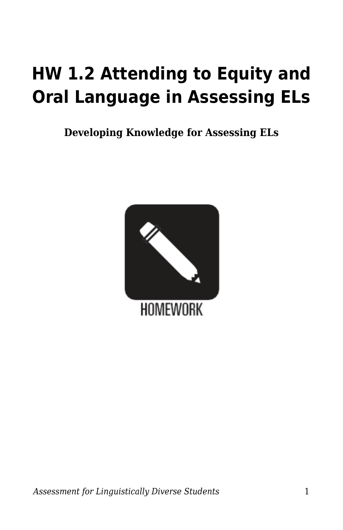## **HW 1.2 Attending to Equity and Oral Language in Assessing ELs**

**Developing Knowledge for Assessing ELs**

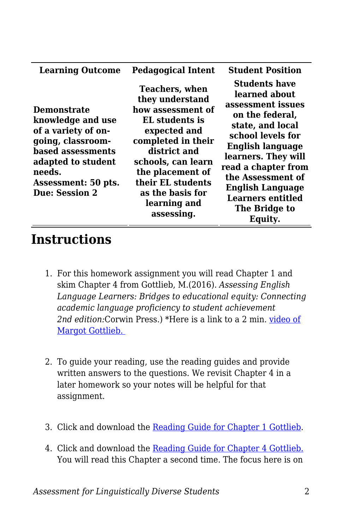| <b>Learning Outcome</b>                                                                                                                                                                  | <b>Pedagogical Intent</b>                                                                                                                                                                                                                              | <b>Student Position</b>                                                                                                                                                                                                                                                                                 |
|------------------------------------------------------------------------------------------------------------------------------------------------------------------------------------------|--------------------------------------------------------------------------------------------------------------------------------------------------------------------------------------------------------------------------------------------------------|---------------------------------------------------------------------------------------------------------------------------------------------------------------------------------------------------------------------------------------------------------------------------------------------------------|
| <b>Demonstrate</b><br>knowledge and use<br>of a variety of on-<br>going, classroom-<br>based assessments<br>adapted to student<br>needs.<br>Assessment: 50 pts.<br><b>Due: Session 2</b> | <b>Teachers, when</b><br>they understand<br>how assessment of<br>EL students is<br>expected and<br>completed in their<br>district and<br>schools, can learn<br>the placement of<br>their EL students<br>as the basis for<br>learning and<br>assessing. | <b>Students have</b><br>learned about<br>assessment issues<br>on the federal,<br>state, and local<br>school levels for<br><b>English language</b><br>learners. They will<br>read a chapter from<br>the Assessment of<br><b>English Language</b><br><b>Learners entitled</b><br>The Bridge to<br>Equity. |

## **Instructions**

- 1. For this homework assignment you will read Chapter 1 and skim Chapter 4 from Gottlieb, M.(2016). *Assessing English Language Learners: Bridges to educational equity: Connecting academic language proficiency to student achievement 2nd edition:*Corwin Press.) \*Here is a link to a 2 min. [video of](https://www.youtube.com/watch?v=OmupTl29Rhc) [Margot Gottlieb.](https://www.youtube.com/watch?v=OmupTl29Rhc)
- 2. To guide your reading, use the reading guides and provide written answers to the questions. We revisit Chapter 4 in a later homework so your notes will be helpful for that assignment.
- 3. Click and download the [Reading Guide for Chapter 1 Gottlieb.](https://byu.box.com/s/sjc73z2z9z3mf20ci0pjzi1yxjguamxi)
- 4. Click and download the [Reading Guide for Chapter 4 Gottlieb.](https://byu.box.com/s/aagm2gnoyprva6v21zy34iawntlf74eh) You will read this Chapter a second time. The focus here is on